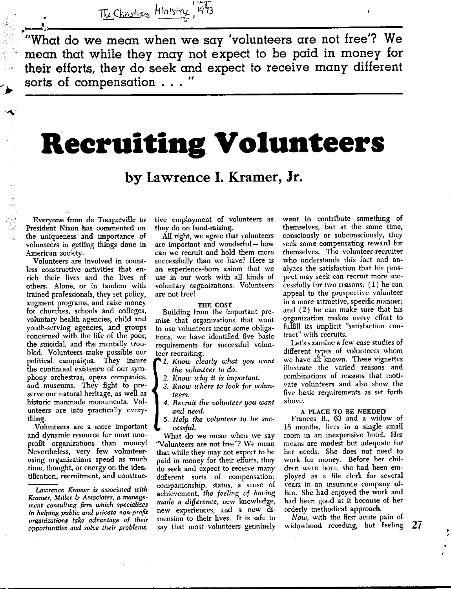<sup>I</sup>*'"'T*  The Christian Hinistry, 1973

we have the say 'volunteers are not free'? We what do we mean when we say 'volunteers are not free'? We **mean that while they may not expect to be paid in money for their efforts, they do seek and expect to receive many different**  sorts of compensation . . .

# **Recruiting Volunteers**

**by Lawrence I. Kramer, Jr.** 

Everyone from de Tocqueville to President Nixon has commented on the uniqueness and importance of volunteers in getting things done in American society.

Volunteers are involved in countless constructive activities that enrich their lives and the lives of others. Alone, or in tandem with trained professionals, they set policy, augment programs, and raise money for churches, schools and colleges, voluntary health agencies, child and youth-serving agencies, and groups concerned with the life of the poor, the suicidal, and the mentally troubled. Volunteers make possible our political campaigns. They insure the continued existence of our symphony orchestras, opera companies, and museums. They fight to pre**serve our natural heritage, as well as**  historic manmade monuments. Volunteers are into practically everything.

Volunteers are a more important **and dynamic resource for most non**profit organizations than money! Nevertheless, very few volunteer**using organizations spend as much**  time, thought, or energy on the iden**tification, recruitment, and construc-** tive employment of volunteers as they do on fund-raising.

All right, we agree that volunteers are important and wonderful - how can we recruit and hold them more successfully than we have? Here is an experience-born axiom that we use in our work with all kinds of **voluntary organizations: Volunteers**  are not free!

#### **THE COST**

Building from the important pre**mise that organizations that want to use volunteers incur some obliga**tions, we have identified five basic **requirements for successful volunteer recruiting:** 

1. Know clearly what you want *the volunteer to do.* 

- 2. Know why it is important.
- *3. Know where to look for volunteers.*
- 4. *Recruit the volunteer* IJOU *want and need.*

*5. Help the volunteer to be* suc*cessful.* 

**'Nhat do we mean when we say .. Volunteers are not free"'? We mean**  that while they may not expect to be paid in money for their efforts, they do seek and expect to receive many **different sorts of compensation: companionship, status, a sense of**  achievement, *the feeling of having made a difference,* new knowledge, **new experiences, and a new dimension- to their lives. It is safe to say that most volunteers genuinely**  want to contribute something of themselves, but at the same time, consciously or subconsciously, they seek some compensating reward for **themselves. The volunteer-recruiter**  who understands this fact and analyzes the satisfaction that his pros**pect may seek can recruit more suc**cessfully for two reasons:  $(1)$  he can appeal to the prospective volunteer **in a more attractive, specific manner;**  and  $(2)$  he can make sure that his **organization makes every effort to**  fulfill its implicit "satisfaction con**tract" with recruits.** 

**Let's examine a few case studies of**  different types of volunteers whom we have all known. These vignettes **illustrate the varied reasons and combinations of reasons that moti**vate volunteers and also show the **five basic requirements as set forth**  above.

# **A PLACE TO BE NEEDED**

Frances B., 63 and a widow of 18 months, lives in a single small **room in an inexpensive hotel. Her**  means are modest but adequate for her needs. She does not need to work for money. Before her children were born, she had been employed as a file clerk for several **years in an insurance company of**fice. She had enjoyed the work and had been good at it because of her orderly methodical approach.

*Now,* with the first acute pain of widowhood receding, but feeling **27** 

• •'

*Lau;rence Kramer* **is** *associated with Kramer, Miller & Associates, a management consulting* firm *which specializes in helping public and private non-profit organizatiofls take advantage of their opportunities and solve their problems.*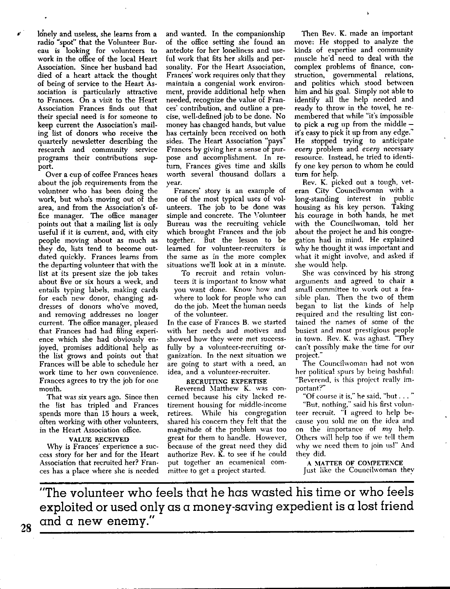lonely and useless, she learns from a radio "spot" that the Volunteer Bureau is looking for volunteers to work in the office of the local Heart Association. Since her husband had died of a heart attack the thought of being of service to the Heart Association is particularly attractive to Frances. On a visit to the Heart Association Frances finds out that **their special need is for someone to**  keep current the Association's mailing list of donors who receive the quarterly newsletter describing the **research and community service**  programs their contributions support.

Over a cup of coffee Frances hears about the job requirements from the volunteer who has been doing the work, but who's moving out of the **area, and from the Association's of**fice manager. The office manager points out that a mailing list is only useful if it is current, and, with city people moving about as much as they do, lists tend to become outdated quickly. Frances learns from the departing volunteer that with the list at its present size the job takes about five or six hours a week, and entails typing labels. making cards for each new donor, changing ad**dresses of donors who've moved, and removing addresses no longer**  current. The office manager. pleased that Frances had had filing experience which she had obviously enjoyed, promises additional help as the list grows and points out that Frances will be able to schedule her **work time to her own convenience.**  Frances agrees to try the job for one month.

That was six years ago. Since then the list has tripled and Frances spends more than 15 hours a week, often working with other volunteers, in the Heart Association office.

# **VALUE RECEIVED**

**Why is Frances' experience a suc**cess story for her and for the Heart Association that recruited her? Frances has a place where she is needed

and wanted. In the companionship of the office setting she found an antedate for her loneliness and useful work that fits her skills and personality. For the Heart Association, Frances' work requires only that they **maintain a congenial work environ**ment, provide additional help when needed, recognize the value of Frances' contribution, and outline a precise, well-defined job to be done. **No**  money has changed hands, but value has certainly been received on both sides. The Heart Association "pays" Frances by giving her a sense of purpose and accomplishment. In return, Frances gives time and skills worth several thousand dollars a year.

Frances' story is an example of one of the most typical uses of volunteers. The job to be done was simple and concrete. The Volunteer **Bureau was the recruiting vehicle**  which brought Frances and the job together. But the lesson to be **learned for volunteer-recruiters is the same as in the more complex situations we'll look at in a minute.** 

**To recniit and retain volunteers it is important to know what you want done. Know how and**  where to look for people who can do the job. Meet the human needs of the volunteer.

In the case of Frances B. we started with her needs and motives and **showed how they were met success**fully by a volunteer-recruiting or**ganization. In the next situation we**  are going to start with a need, an **idea, and a volunteer-recruiter.** 

## **RECRUITING EXPERTISE**

Reverend Matthew K. was con**cerned because his citv lacked retirement housing for m·iddle-income**  retirees. While his congregation shared his concern they felt that the magnitude of the problem was too great for them to handle. However, because of the great need they did authorize Rev.  $\check{K}$ , to see if he could **put together an ecumenical com**mittee to get a project started.

Then Rev. **K.** made an important move: He stopped to analyze the kinds of expertise and community muscle he'd need to deal with the complex problems of finance, con**struction, governmental relations,**  and politics which stood between him and his goal. Simply not able to identify all the help needed and ready to throw in the towel, he remembered that while "it's impossible to pick a rug up from the middle  $$ it's easy to pick it up from any edge." He stopped trying to anticipate *every* problem and *even;* necessary resource. Instead, he tried to identify one key person *to* whom he could turn for help.

Rev. K. picked out a tough, vet**eran Citv Councilwoman with a**  long-standing interest in public housing as his key person. Taking his courage in both hands, he met with the Councilwoman, told her about the project he and his congregation had in mind. He explained why he thought it was important and what it might involve, and asked if she would help.

She was convinced by his strong arguments and agreed to chair a **small committee to work out a fea**sible plan. Then the two of them began to list the kinds of help required and the resulting list con**tained the names of some of the busiest and most prestigious people in town. Rev. K. was aghast. "They can't possibly make the time for our**  project."

**The Councilwoman had not won**  her political spurs by being bashful: **"Reverend, is this project really important?"** 

"Of course it is," he said, "but . . . "

"But, nothing," said his first volunteer recruit. "I agreed to help be**cause you sold me on the idea and**  on the importance of  $m\eta$  help. Others will help too if we tell them why we need them to join us!" And they did.

A MATTER OF COMPETENCE Just like the Councilwoman thev

**"The volunteer who feels that he has wasted his time or who feels exploited or used only as a money-saving expedient is a lost friend and a new enemy."** 

**28**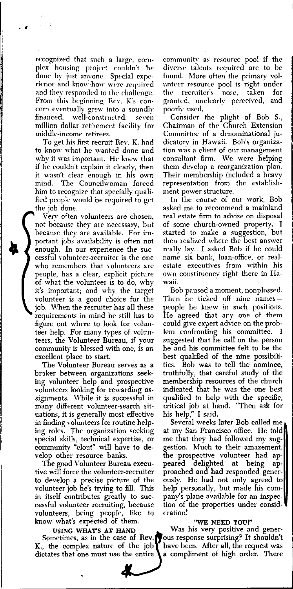recognized that such a large, complex housing project couldn't he done by just anyone. Special expe**rience and know-how were required** and they responded to the challenge. From this beginning Rev. K's concern eventually grew into a soundly financed, well-constructed, seven million dollar retirement facility for **middle-income retirees.** 

. .

To get his first recruit Rev. **K.** had to know what he wanted done and why it was important. He knew that if he couldn't explain it clearly, then it wasn't clear enough in his own<br>mind. The Councilwoman forced **mind. The Councilwoman forced**  him to recognize that specially qualified people would be required to get the job done.

**Ven' often volunteers are chosen, not because they are necessary, but because they are available. For im**portant jobs availability is often not enough. In our experience the suc**cessful volunteer-recruiter is the one who remembers that volunteers are**  people, has a clear, explicit picture of what the volunteer is to do, whv it's important; and why the target volunteer is a good choice for the job. When the recruiter has all these requirements io miod he still has to figure out where to look for volunteer help. For many types of volunteers, the Volunteer Bureau, if your community is blessed with one, is an excellent place to start.

**The Volunteer Bureau serves as a**  broker between organizations seeking volunteer help and prospective volunteers looking for rewarding assignments. While it is successful in **many different volunteer-search sit**uations, it is generally most effective in finding volunteers for routine helping roles. The organization seeking special skills, technical expertise, or community "clout" will have to develop other resource banks.

The good Volunteer Bureau executive will force the volunteer-recruiter to develop a precise picture of the volunteer job he's trying to fill. This in itself contributes greatly to suc**cessful volunteer recruiting, because**  volunteers, being people, like to know what's expected of them.

**USING WHAT'S AT HAND** 

Sometimes, as in the case of Rev. **K.,** the complex nature of the job **dictates that one must use the entire** 

**community as resource pool if the diversP talents required are to** *be*  found. More often the primary vol**unteer resource' pool is right under the recruiter's nose, taken for granted. unclcarly perceived, and poorly used,** 

Consider the plight of Bob S., Chairman of the Church Extension Committee of a denominational ju**dicatory in Hawaii. Bob's organization was a client of our management**  consultant firm. We were helping them develop a reorganization plan. Their membership included a heavy representation from the establish**ment power structure.** 

**In the course of our work, Bob asked me to recommend a mainland**  real estate firm to advise on disposal of some church-owned property. I started to make a suggestion, but **then realized where the best answer**  reallv !av. I asked Bob if he could name six bank, loan-office, or real**estate executives from within his**  own constituency right there in Ha**waii.** 

Bob paused a moment, nonplussed. Then he ticked off nine names people he knew in such positions. He agreed that any one of them could give expert advice on the problem confronting his committee. suggested that he call on the person he and his committee felt to be the best qualified of the nine possibilities. Bob was to tell the nominee, truthfully, that careful study of the membership resources of the church indicated that he was the one best qualified to help with the specific, critical job at hand. "Then ask for his help," I said.

Several weeks later Bob called me at my San Francisco office. He told me that they had followed my suggestion. Much to their amazement, the prospective volunteer had appeared delighted at being approached and had responded generously. He had not only agreed to help personally, but made his company's plane available for an inspection of the properties under consideration!

# "WE NEED YOU!"

Was his very positive and generous response surprising? It shouldn't have been. After all, the request was a compliment of high order. There